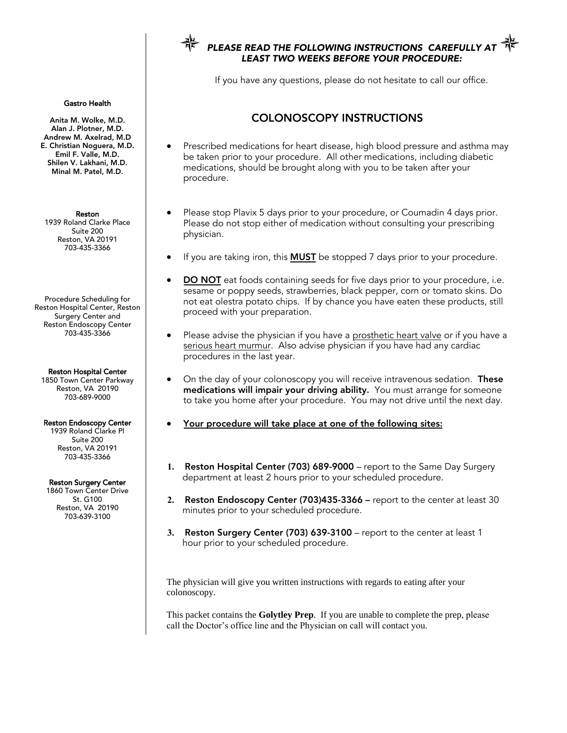## PLEASE READ THE FOLLOWING INSTRUCTIONS CAREFU LEAST TWO WEEKS BEFORE YOUR PROCEDURE:

If you have any questions, please do not hesitate to call our office.

# COLONOSCOPY INSTRUCTIONS

- Prescribed medications for heart disease, high blood pressure and asthma may be taken prior to your procedure. All other medications, including diabetic medications, should be brought along with you to be taken after your procedure.
- Please stop Plavix 5 days prior to your procedure, or Coumadin 4 days prior. Please do not stop either of medication without consulting your prescribing physician.
- If you are taking iron, this **MUST** be stopped 7 days prior to your procedure.
- **DO NOT** eat foods containing seeds for five days prior to your procedure, i.e. sesame or poppy seeds, strawberries, black pepper, corn or tomato skins. Do not eat olestra potato chips. If by chance you have eaten these products, still proceed with your preparation.
- Please advise the physician if you have a prosthetic heart valve or if you have a serious heart murmur. Also advise physician if you have had any cardiac procedures in the last year.
- On the day of your colonoscopy you will receive intravenous sedation. These medications will impair your driving ability. You must arrange for someone to take you home after your procedure. You may not drive until the next day.
- Your procedure will take place at one of the following sites:
- **1.** Reston Hospital Center (703) 689-9000 report to the Same Day Surgery department at least 2 hours prior to your scheduled procedure.
- **2.** Reston Endoscopy Center (703)435-3366 report to the center at least 30 minutes prior to your scheduled procedure.
- **3.** Reston Surgery Center (703) 639-3100 report to the center at least 1 hour prior to your scheduled procedure.

The physician will give you written instructions with regards to eating after your colonoscopy.

This packet contains the **Golytley Prep**. If you are unable to complete the prep, please call the Doctor's office line and the Physician on call will contact you.

#### Gastro Health

Anita M. Wolke, M.D. Alan J. Plotner, M.D. Andrew M. Axelrad, M.D E. Christian Noguera, M.D. Emil F. Valle, M.D. Shilen V. Lakhani, M.D. Minal M. Patel, M.D.

Reston 1939 Roland Clarke Place Suite 200 Reston, VA 20191 703-435-3366

Procedure Scheduling for Reston Hospital Center, Reston Surgery Center and Reston Endoscopy Center 703-435-3366

Reston Hospital Center 1850 Town Center Parkway Reston, VA 20190 703-689-9000

#### Reston Endoscopy Center

1939 Roland Clarke Pl Suite 200 Reston, VA 20191 703-435-3366

Reston Surgery Center 1860 Town Center Drive

St. G100 Reston, VA 20190 703-639-3100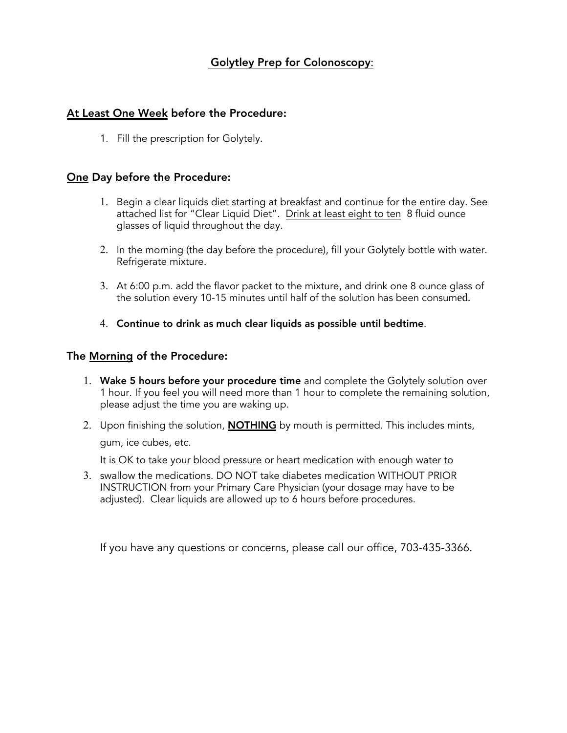## Golytley Prep for Colonoscopy:

## At Least One Week before the Procedure**:**

1. Fill the prescription for Golytely.

## One Day before the Procedure:

- 1. Begin a clear liquids diet starting at breakfast and continue for the entire day. See attached list for "Clear Liquid Diet". Drink at least eight to ten 8 fluid ounce glasses of liquid throughout the day.
- 2. In the morning (the day before the procedure), fill your Golytely bottle with water. Refrigerate mixture.
- 3. At 6:00 p.m. add the flavor packet to the mixture, and drink one 8 ounce glass of the solution every 10-15 minutes until half of the solution has been consumed.
- 4. Continue to drink as much clear liquids as possible until bedtime.

### The Morning of the Procedure:

- 1. Wake 5 hours before your procedure time and complete the Golytely solution over 1 hour. If you feel you will need more than 1 hour to complete the remaining solution, please adjust the time you are waking up.
- 2. Upon finishing the solution, **NOTHING** by mouth is permitted. This includes mints, gum, ice cubes, etc.

It is OK to take your blood pressure or heart medication with enough water to

3. swallow the medications. DO NOT take diabetes medication WITHOUT PRIOR INSTRUCTION from your Primary Care Physician (your dosage may have to be adjusted). Clear liquids are allowed up to 6 hours before procedures.

If you have any questions or concerns, please call our office, 703-435-3366.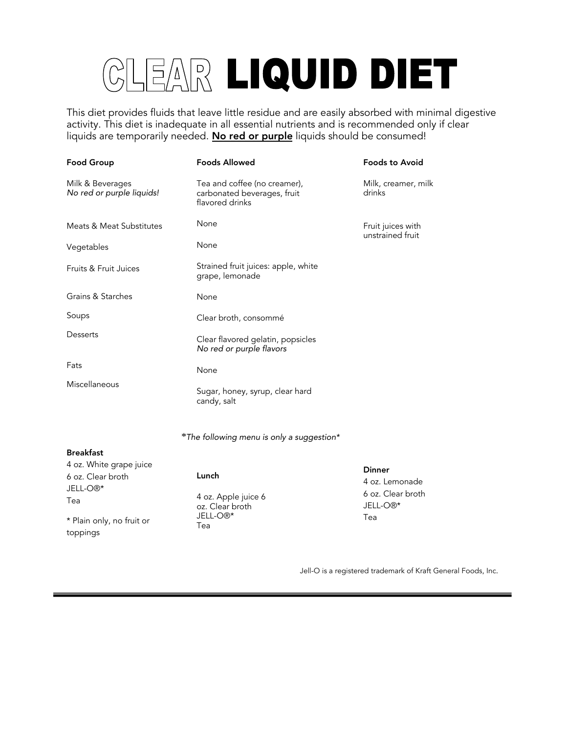# CLEAR LIQUID DIET

This diet provides fluids that leave little residue and are easily absorbed with minimal digestive activity. This diet is inadequate in all essential nutrients and is recommended only if clear liquids are temporarily needed. No red or purple liquids should be consumed!

| <b>Food Group</b>                             | <b>Foods Allowed</b>                                                           | <b>Foods to Avoid</b>                 |
|-----------------------------------------------|--------------------------------------------------------------------------------|---------------------------------------|
| Milk & Beverages<br>No red or purple liquids! | Tea and coffee (no creamer),<br>carbonated beverages, fruit<br>flavored drinks | Milk, creamer, milk<br>drinks         |
| <b>Meats &amp; Meat Substitutes</b>           | None                                                                           | Fruit juices with<br>unstrained fruit |
| Vegetables                                    | None                                                                           |                                       |
| Fruits & Fruit Juices                         | Strained fruit juices: apple, white<br>grape, lemonade                         |                                       |
| Grains & Starches                             | None                                                                           |                                       |
| Soups                                         | Clear broth, consommé                                                          |                                       |
| Desserts                                      | Clear flavored gelatin, popsicles<br>No red or purple flavors                  |                                       |
| Fats                                          | None                                                                           |                                       |
| Miscellaneous                                 | Sugar, honey, syrup, clear hard<br>candy, salt                                 |                                       |

*\**The following menu is only a suggestion\*

#### Breakfast

| 4 oz. White grape juice               |                                                                       | <b>Dinner</b>                             |
|---------------------------------------|-----------------------------------------------------------------------|-------------------------------------------|
| 6 oz. Clear broth                     | Lunch                                                                 | 4 oz. Lemonade                            |
| JELL-O <sup>®*</sup><br>Tea           | 4 oz. Apple juice 6<br>oz. Clear broth<br>JELL-O <sup>®*</sup><br>Tea | 6 oz. Clear broth<br>JELL-O <sup>®*</sup> |
| * Plain only, no fruit or<br>toppings |                                                                       | Tea                                       |

Jell-O is a registered trademark of Kraft General Foods, Inc.